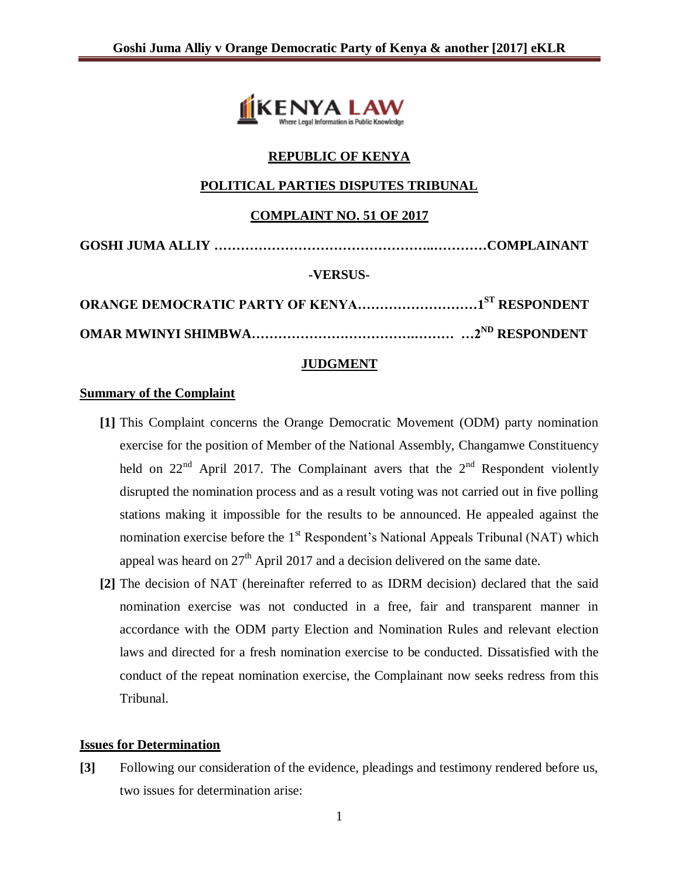

## **REPUBLIC OF KENYA**

### **POLITICAL PARTIES DISPUTES TRIBUNAL**

#### **COMPLAINT NO. 51 OF 2017**

| -VERSUS- |  |
|----------|--|
|          |  |

**OMAR MWINYI SHIMBWA……………………………….……… …2ND RESPONDENT**

#### **JUDGMENT**

#### **Summary of the Complaint**

- **[1]** This Complaint concerns the Orange Democratic Movement (ODM) party nomination exercise for the position of Member of the National Assembly, Changamwe Constituency held on  $22<sup>nd</sup>$  April 2017. The Complainant avers that the  $2<sup>nd</sup>$  Respondent violently disrupted the nomination process and as a result voting was not carried out in five polling stations making it impossible for the results to be announced. He appealed against the nomination exercise before the 1<sup>st</sup> Respondent's National Appeals Tribunal (NAT) which appeal was heard on  $27<sup>th</sup>$  April 2017 and a decision delivered on the same date.
- **[2]** The decision of NAT (hereinafter referred to as IDRM decision) declared that the said nomination exercise was not conducted in a free, fair and transparent manner in accordance with the ODM party Election and Nomination Rules and relevant election laws and directed for a fresh nomination exercise to be conducted. Dissatisfied with the conduct of the repeat nomination exercise, the Complainant now seeks redress from this Tribunal.

#### **Issues for Determination**

**[3]** Following our consideration of the evidence, pleadings and testimony rendered before us, two issues for determination arise: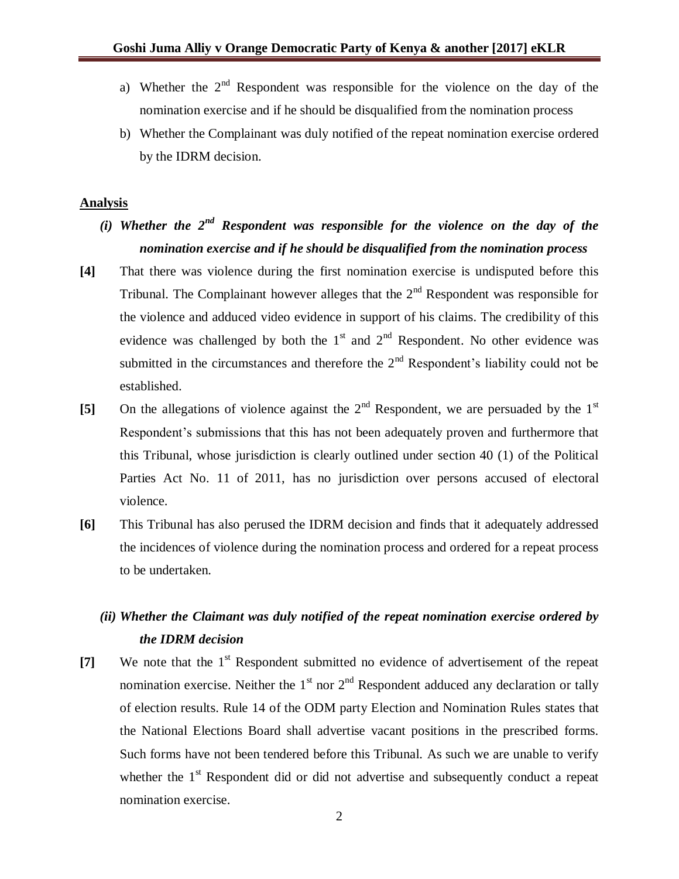- a) Whether the  $2<sup>nd</sup>$  Respondent was responsible for the violence on the day of the nomination exercise and if he should be disqualified from the nomination process
- b) Whether the Complainant was duly notified of the repeat nomination exercise ordered by the IDRM decision.

#### **Analysis**

- *(i) Whether the 2nd Respondent was responsible for the violence on the day of the nomination exercise and if he should be disqualified from the nomination process*
- **[4]** That there was violence during the first nomination exercise is undisputed before this Tribunal. The Complainant however alleges that the  $2<sup>nd</sup>$  Respondent was responsible for the violence and adduced video evidence in support of his claims. The credibility of this evidence was challenged by both the  $1<sup>st</sup>$  and  $2<sup>nd</sup>$  Respondent. No other evidence was submitted in the circumstances and therefore the  $2<sup>nd</sup>$  Respondent's liability could not be established.
- [5] On the allegations of violence against the 2<sup>nd</sup> Respondent, we are persuaded by the 1<sup>st</sup> Respondent's submissions that this has not been adequately proven and furthermore that this Tribunal, whose jurisdiction is clearly outlined under section 40 (1) of the Political Parties Act No. 11 of 2011, has no jurisdiction over persons accused of electoral violence.
- **[6]** This Tribunal has also perused the IDRM decision and finds that it adequately addressed the incidences of violence during the nomination process and ordered for a repeat process to be undertaken.

# *(ii) Whether the Claimant was duly notified of the repeat nomination exercise ordered by the IDRM decision*

[7] We note that the 1<sup>st</sup> Respondent submitted no evidence of advertisement of the repeat nomination exercise. Neither the  $1<sup>st</sup>$  nor  $2<sup>nd</sup>$  Respondent adduced any declaration or tally of election results. Rule 14 of the ODM party Election and Nomination Rules states that the National Elections Board shall advertise vacant positions in the prescribed forms. Such forms have not been tendered before this Tribunal. As such we are unable to verify whether the 1<sup>st</sup> Respondent did or did not advertise and subsequently conduct a repeat nomination exercise.